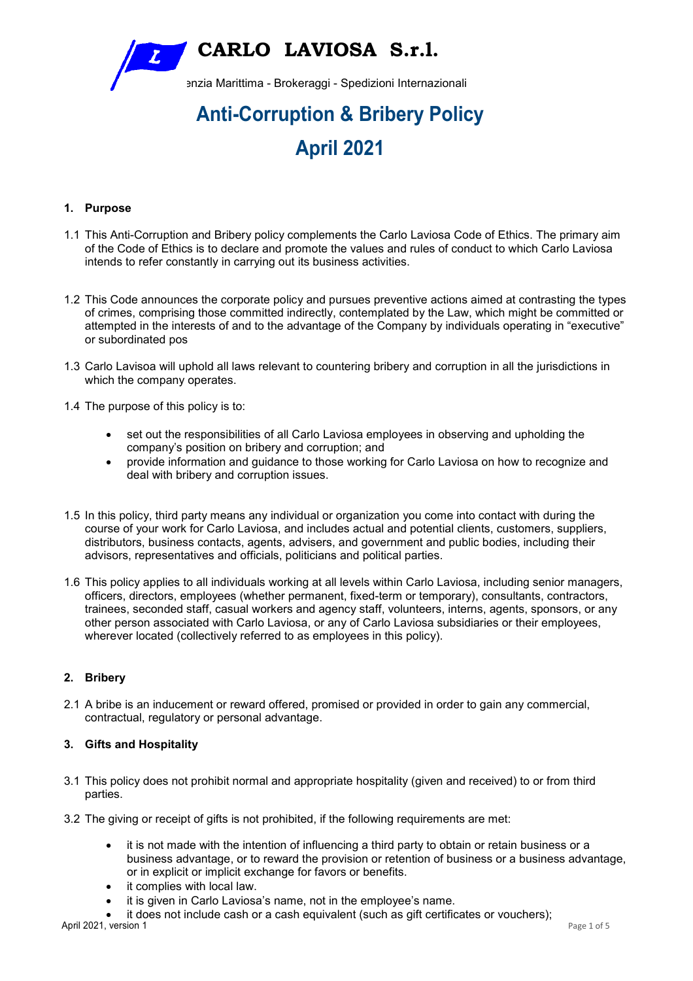**CARLO LAVIOSA S.r.l.** 

enzia Marittima - Brokeraggi - Spedizioni Internazionali

# **Anti-Corruption & Bribery Policy April 2021**

# **1. Purpose**

- 1.1 This Anti-Corruption and Bribery policy complements the Carlo Laviosa Code of Ethics. The primary aim of the Code of Ethics is to declare and promote the values and rules of conduct to which Carlo Laviosa intends to refer constantly in carrying out its business activities.
- 1.2 This Code announces the corporate policy and pursues preventive actions aimed at contrasting the types of crimes, comprising those committed indirectly, contemplated by the Law, which might be committed or attempted in the interests of and to the advantage of the Company by individuals operating in "executive" or subordinated pos
- 1.3 Carlo Lavisoa will uphold all laws relevant to countering bribery and corruption in all the jurisdictions in which the company operates.
- 1.4 The purpose of this policy is to:
	- set out the responsibilities of all Carlo Laviosa employees in observing and upholding the company's position on bribery and corruption; and
	- provide information and guidance to those working for Carlo Laviosa on how to recognize and deal with bribery and corruption issues.
- 1.5 In this policy, third party means any individual or organization you come into contact with during the course of your work for Carlo Laviosa, and includes actual and potential clients, customers, suppliers, distributors, business contacts, agents, advisers, and government and public bodies, including their advisors, representatives and officials, politicians and political parties.
- 1.6 This policy applies to all individuals working at all levels within Carlo Laviosa, including senior managers, officers, directors, employees (whether permanent, fixed-term or temporary), consultants, contractors, trainees, seconded staff, casual workers and agency staff, volunteers, interns, agents, sponsors, or any other person associated with Carlo Laviosa, or any of Carlo Laviosa subsidiaries or their employees, wherever located (collectively referred to as employees in this policy).

# **2. Bribery**

2.1 A bribe is an inducement or reward offered, promised or provided in order to gain any commercial, contractual, regulatory or personal advantage.

# **3. Gifts and Hospitality**

- 3.1 This policy does not prohibit normal and appropriate hospitality (given and received) to or from third parties.
- 3.2 The giving or receipt of gifts is not prohibited, if the following requirements are met:
	- it is not made with the intention of influencing a third party to obtain or retain business or a business advantage, or to reward the provision or retention of business or a business advantage, or in explicit or implicit exchange for favors or benefits.
	- it complies with local law.
	- it is given in Carlo Laviosa's name, not in the employee's name.

April 2021, version 1 Page 1 of 5 it does not include cash or a cash equivalent (such as gift certificates or vouchers);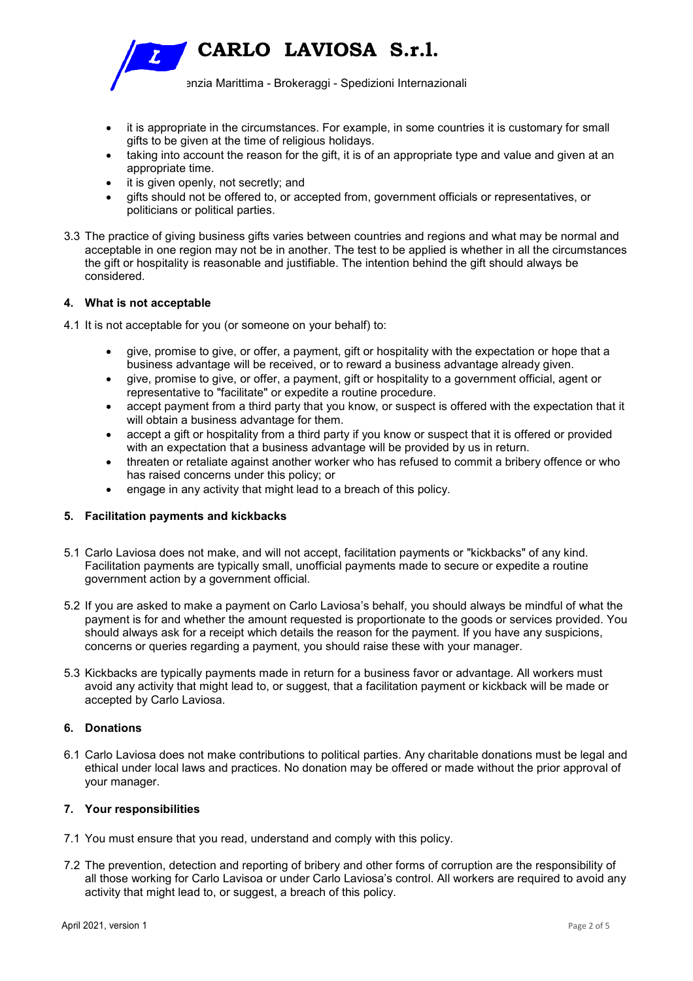**CARLO LAVIOSA S.r.l.** enzia Marittima - Brokeraggi - Spedizioni Internazionali

- it is appropriate in the circumstances. For example, in some countries it is customary for small gifts to be given at the time of religious holidays.
- taking into account the reason for the gift, it is of an appropriate type and value and given at an appropriate time.
- it is given openly, not secretly; and
- gifts should not be offered to, or accepted from, government officials or representatives, or politicians or political parties.
- 3.3 The practice of giving business gifts varies between countries and regions and what may be normal and acceptable in one region may not be in another. The test to be applied is whether in all the circumstances the gift or hospitality is reasonable and justifiable. The intention behind the gift should always be considered.

# **4. What is not acceptable**

- 4.1 It is not acceptable for you (or someone on your behalf) to:
	- give, promise to give, or offer, a payment, gift or hospitality with the expectation or hope that a business advantage will be received, or to reward a business advantage already given.
	- give, promise to give, or offer, a payment, gift or hospitality to a government official, agent or representative to "facilitate" or expedite a routine procedure.
	- accept payment from a third party that you know, or suspect is offered with the expectation that it will obtain a business advantage for them.
	- accept a gift or hospitality from a third party if you know or suspect that it is offered or provided with an expectation that a business advantage will be provided by us in return.
	- threaten or retaliate against another worker who has refused to commit a bribery offence or who has raised concerns under this policy; or
	- engage in any activity that might lead to a breach of this policy.

# **5. Facilitation payments and kickbacks**

- 5.1 Carlo Laviosa does not make, and will not accept, facilitation payments or "kickbacks" of any kind. Facilitation payments are typically small, unofficial payments made to secure or expedite a routine government action by a government official.
- 5.2 If you are asked to make a payment on Carlo Laviosa's behalf, you should always be mindful of what the payment is for and whether the amount requested is proportionate to the goods or services provided. You should always ask for a receipt which details the reason for the payment. If you have any suspicions, concerns or queries regarding a payment, you should raise these with your manager.
- 5.3 Kickbacks are typically payments made in return for a business favor or advantage. All workers must avoid any activity that might lead to, or suggest, that a facilitation payment or kickback will be made or accepted by Carlo Laviosa.

## **6. Donations**

6.1 Carlo Laviosa does not make contributions to political parties. Any charitable donations must be legal and ethical under local laws and practices. No donation may be offered or made without the prior approval of your manager.

### **7. Your responsibilities**

- 7.1 You must ensure that you read, understand and comply with this policy.
- 7.2 The prevention, detection and reporting of bribery and other forms of corruption are the responsibility of all those working for Carlo Lavisoa or under Carlo Laviosa's control. All workers are required to avoid any activity that might lead to, or suggest, a breach of this policy.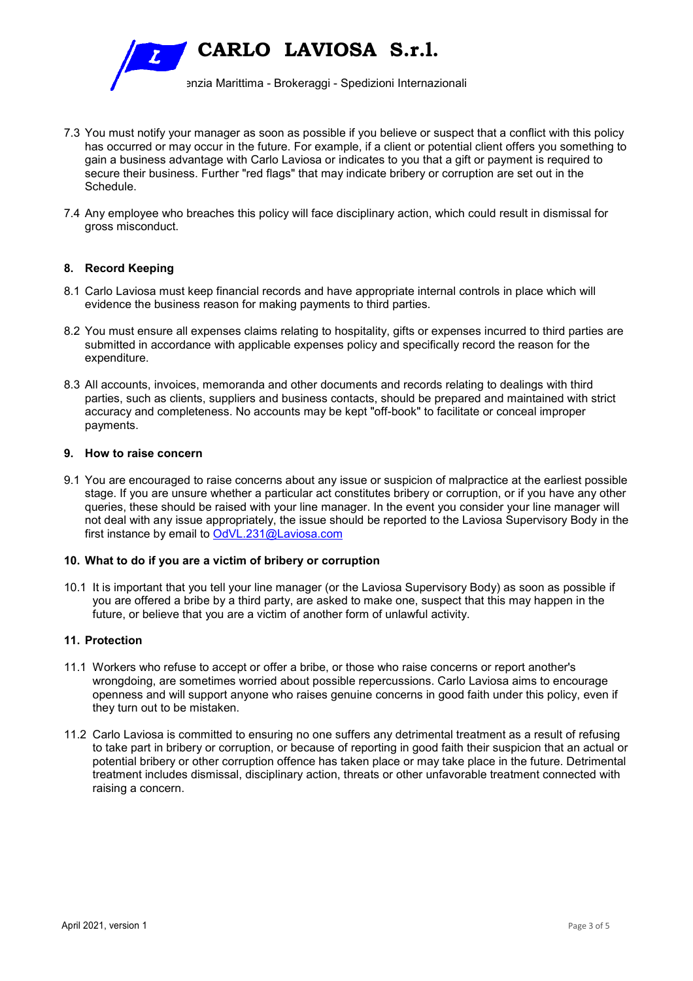

- 7.3 You must notify your manager as soon as possible if you believe or suspect that a conflict with this policy has occurred or may occur in the future. For example, if a client or potential client offers you something to gain a business advantage with Carlo Laviosa or indicates to you that a gift or payment is required to secure their business. Further "red flags" that may indicate bribery or corruption are set out in the Schedule.
- 7.4 Any employee who breaches this policy will face disciplinary action, which could result in dismissal for gross misconduct.

## **8. Record Keeping**

- 8.1 Carlo Laviosa must keep financial records and have appropriate internal controls in place which will evidence the business reason for making payments to third parties.
- 8.2 You must ensure all expenses claims relating to hospitality, gifts or expenses incurred to third parties are submitted in accordance with applicable expenses policy and specifically record the reason for the expenditure.
- 8.3 All accounts, invoices, memoranda and other documents and records relating to dealings with third parties, such as clients, suppliers and business contacts, should be prepared and maintained with strict accuracy and completeness. No accounts may be kept "off-book" to facilitate or conceal improper payments.

# **9. How to raise concern**

9.1 You are encouraged to raise concerns about any issue or suspicion of malpractice at the earliest possible stage. If you are unsure whether a particular act constitutes bribery or corruption, or if you have any other queries, these should be raised with your line manager. In the event you consider your line manager will not deal with any issue appropriately, the issue should be reported to the Laviosa Supervisory Body in the first instance by email to OdVL.231@Laviosa.com

#### **10. What to do if you are a victim of bribery or corruption**

10.1 It is important that you tell your line manager (or the Laviosa Supervisory Body) as soon as possible if you are offered a bribe by a third party, are asked to make one, suspect that this may happen in the future, or believe that you are a victim of another form of unlawful activity.

#### **11. Protection**

- 11.1 Workers who refuse to accept or offer a bribe, or those who raise concerns or report another's wrongdoing, are sometimes worried about possible repercussions. Carlo Laviosa aims to encourage openness and will support anyone who raises genuine concerns in good faith under this policy, even if they turn out to be mistaken.
- 11.2 Carlo Laviosa is committed to ensuring no one suffers any detrimental treatment as a result of refusing to take part in bribery or corruption, or because of reporting in good faith their suspicion that an actual or potential bribery or other corruption offence has taken place or may take place in the future. Detrimental treatment includes dismissal, disciplinary action, threats or other unfavorable treatment connected with raising a concern.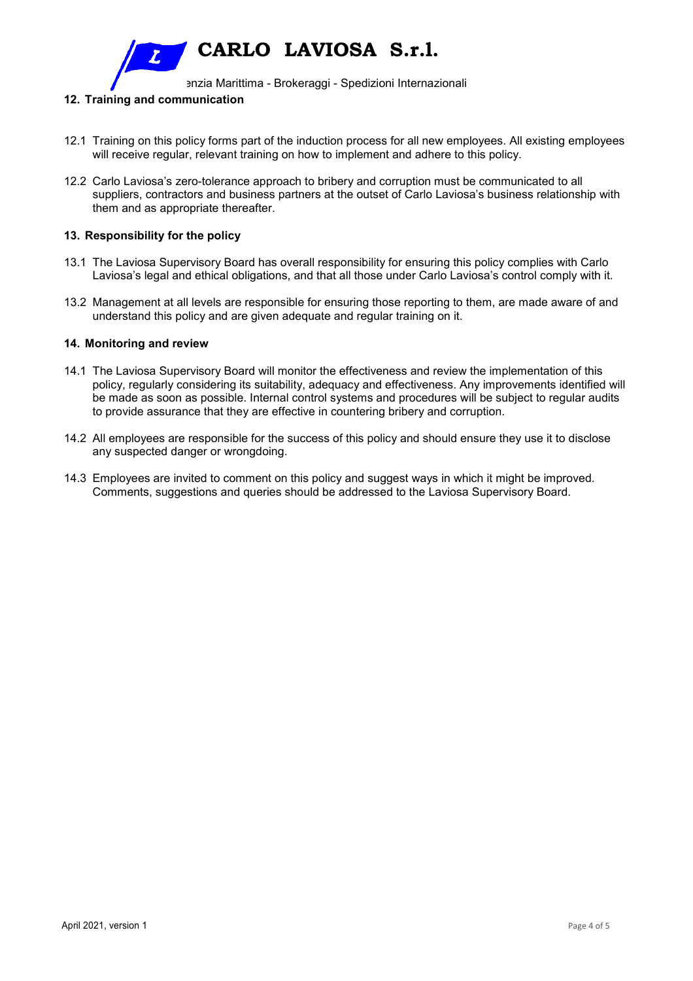**CARLO LAVIOSA S.r.l.** 

enzia Marittima - Brokeraggi - Spedizioni Internazionali

## **12. Training and communication**

- 12.1 Training on this policy forms part of the induction process for all new employees. All existing employees will receive regular, relevant training on how to implement and adhere to this policy.
- 12.2 Carlo Laviosa's zero-tolerance approach to bribery and corruption must be communicated to all suppliers, contractors and business partners at the outset of Carlo Laviosa's business relationship with them and as appropriate thereafter.

## **13. Responsibility for the policy**

- 13.1 The Laviosa Supervisory Board has overall responsibility for ensuring this policy complies with Carlo Laviosa's legal and ethical obligations, and that all those under Carlo Laviosa's control comply with it.
- 13.2 Management at all levels are responsible for ensuring those reporting to them, are made aware of and understand this policy and are given adequate and regular training on it.

#### **14. Monitoring and review**

- 14.1 The Laviosa Supervisory Board will monitor the effectiveness and review the implementation of this policy, regularly considering its suitability, adequacy and effectiveness. Any improvements identified will be made as soon as possible. Internal control systems and procedures will be subject to regular audits to provide assurance that they are effective in countering bribery and corruption.
- 14.2 All employees are responsible for the success of this policy and should ensure they use it to disclose any suspected danger or wrongdoing.
- 14.3 Employees are invited to comment on this policy and suggest ways in which it might be improved. Comments, suggestions and queries should be addressed to the Laviosa Supervisory Board.